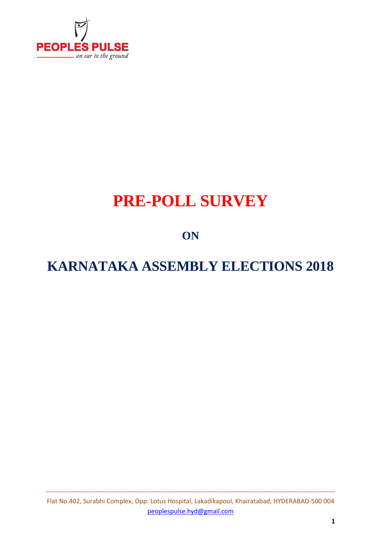

# **PRE-POLL SURVEY**

### **ON**

## **KARNATAKA ASSEMBLY ELECTIONS 2018**

Flat No.402, Surabhi Complex, Opp: Lotus Hospital, Lakadikapool, Khairatabad, HYDERABAD-500 004 peoplespulse.hyd@gmail.com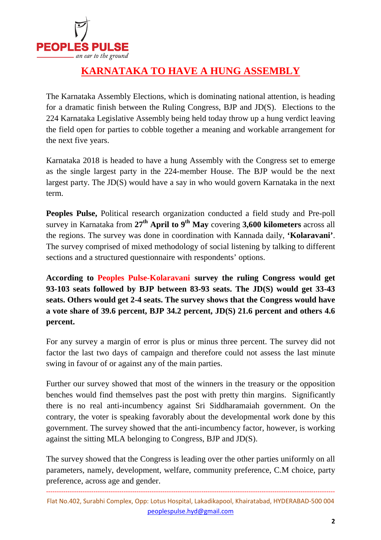

### **KARNATAKA TO HAVE A HUNG ASSEMBLY**

The Karnataka Assembly Elections, which is dominating national attention, is heading for a dramatic finish between the Ruling Congress, BJP and JD(S). Elections to the 224 Karnataka Legislative Assembly being held today throw up a hung verdict leaving the field open for parties to cobble together a meaning and workable arrangement for the next five years.

Karnataka 2018 is headed to have a hung Assembly with the Congress set to emerge as the single largest party in the 224-member House. The BJP would be the next largest party. The JD(S) would have a say in who would govern Karnataka in the next term.

**Peoples Pulse,** Political research organization conducted a field study and Pre-poll survey in Karnataka from **27th April to 9th May** covering **3,600 kilometers** across all the regions. The survey was done in coordination with Kannada daily, **'Kolaravani'**. The survey comprised of mixed methodology of social listening by talking to different sections and a structured questionnaire with respondents' options.

**According to Peoples Pulse-Kolaravani survey the ruling Congress would get 93-103 seats followed by BJP between 83-93 seats. The JD(S) would get 33-43 seats. Others would get 2-4 seats. The survey shows that the Congress would have a vote share of 39.6 percent, BJP 34.2 percent, JD(S) 21.6 percent and others 4.6 percent.** 

For any survey a margin of error is plus or minus three percent. The survey did not factor the last two days of campaign and therefore could not assess the last minute swing in favour of or against any of the main parties.

Further our survey showed that most of the winners in the treasury or the opposition benches would find themselves past the post with pretty thin margins. Significantly there is no real anti-incumbency against Sri Siddharamaiah government. On the contrary, the voter is speaking favorably about the developmental work done by this government. The survey showed that the anti-incumbency factor, however, is working against the sitting MLA belonging to Congress, BJP and JD(S).

The survey showed that the Congress is leading over the other parties uniformly on all parameters, namely, development, welfare, community preference, C.M choice, party preference, across age and gender.

-------------------------------------------------------------------------------------------------------------------------------------- Flat No.402, Surabhi Complex, Opp: Lotus Hospital, Lakadikapool, Khairatabad, HYDERABAD-500 004 peoplespulse.hyd@gmail.com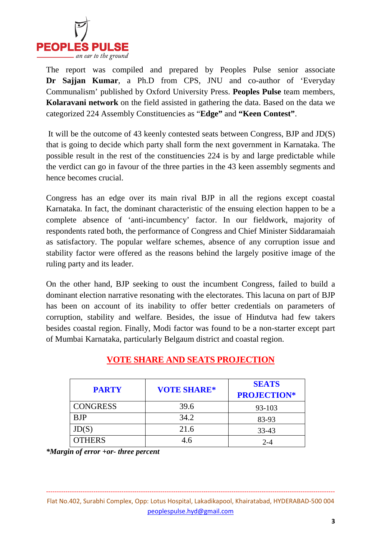

The report was compiled and prepared by Peoples Pulse senior associate **Dr Sajjan Kumar**, a Ph.D from CPS, JNU and co-author of 'Everyday Communalism' published by Oxford University Press. **Peoples Pulse** team members, **Kolaravani network** on the field assisted in gathering the data. Based on the data we categorized 224 Assembly Constituencies as "**Edge"** and **"Keen Contest"**.

 It will be the outcome of 43 keenly contested seats between Congress, BJP and JD(S) that is going to decide which party shall form the next government in Karnataka. The possible result in the rest of the constituencies 224 is by and large predictable while the verdict can go in favour of the three parties in the 43 keen assembly segments and hence becomes crucial.

Congress has an edge over its main rival BJP in all the regions except coastal Karnataka. In fact, the dominant characteristic of the ensuing election happen to be a complete absence of 'anti-incumbency' factor. In our fieldwork, majority of respondents rated both, the performance of Congress and Chief Minister Siddaramaiah as satisfactory. The popular welfare schemes, absence of any corruption issue and stability factor were offered as the reasons behind the largely positive image of the ruling party and its leader.

On the other hand, BJP seeking to oust the incumbent Congress, failed to build a dominant election narrative resonating with the electorates. This lacuna on part of BJP has been on account of its inability to offer better credentials on parameters of corruption, stability and welfare. Besides, the issue of Hindutva had few takers besides coastal region. Finally, Modi factor was found to be a non-starter except part of Mumbai Karnataka, particularly Belgaum district and coastal region.

| <b>PARTY</b>    | <b>VOTE SHARE*</b> | <b>SEATS</b><br><b>PROJECTION*</b> |
|-----------------|--------------------|------------------------------------|
| <b>CONGRESS</b> | 39.6               | 93-103                             |
| <b>BJP</b>      | 34.2               | 83-93                              |
| JD(S)           | 21.6               | $33 - 43$                          |
| <b>OTHERS</b>   | 4.6                | $2 - 4$                            |

### **VOTE SHARE AND SEATS PROJECTION**

*\*Margin of error +or- three percent* 

Flat No.402, Surabhi Complex, Opp: Lotus Hospital, Lakadikapool, Khairatabad, HYDERABAD-500 004 peoplespulse.hyd@gmail.com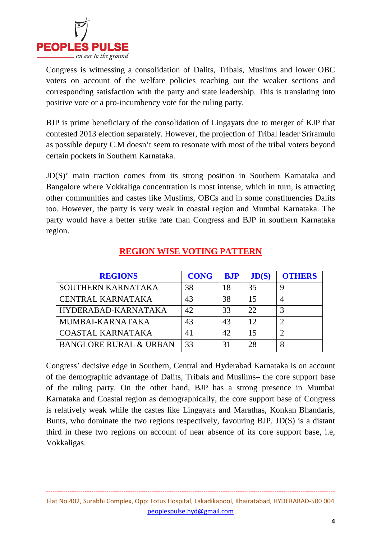

Congress is witnessing a consolidation of Dalits, Tribals, Muslims and lower OBC voters on account of the welfare policies reaching out the weaker sections and corresponding satisfaction with the party and state leadership. This is translating into positive vote or a pro-incumbency vote for the ruling party.

BJP is prime beneficiary of the consolidation of Lingayats due to merger of KJP that contested 2013 election separately. However, the projection of Tribal leader Sriramulu as possible deputy C.M doesn't seem to resonate with most of the tribal voters beyond certain pockets in Southern Karnataka.

JD(S)' main traction comes from its strong position in Southern Karnataka and Bangalore where Vokkaliga concentration is most intense, which in turn, is attracting other communities and castes like Muslims, OBCs and in some constituencies Dalits too. However, the party is very weak in coastal region and Mumbai Karnataka. The party would have a better strike rate than Congress and BJP in southern Karnataka region.

| <b>REGIONS</b>                    | <b>CONG</b> | <b>BJP</b> | JD(S) | <b>OTHERS</b> |
|-----------------------------------|-------------|------------|-------|---------------|
| SOUTHERN KARNATAKA                | 38          | 18         | 35    |               |
| <b>CENTRAL KARNATAKA</b>          | 43          | 38         |       |               |
| HYDERABAD-KARNATAKA               | 42          | 33         | 22    |               |
| MUMBAI-KARNATAKA                  | 43          | 43         | 12    |               |
| <b>COASTAL KARNATAKA</b>          | 41          | 42         | 15    |               |
| <b>BANGLORE RURAL &amp; URBAN</b> | 33          | 31         | 28    |               |

### **REGION WISE VOTING PATTERN**

Congress' decisive edge in Southern, Central and Hyderabad Karnataka is on account of the demographic advantage of Dalits, Tribals and Muslims– the core support base of the ruling party. On the other hand, BJP has a strong presence in Mumbai Karnataka and Coastal region as demographically, the core support base of Congress is relatively weak while the castes like Lingayats and Marathas, Konkan Bhandaris, Bunts, who dominate the two regions respectively, favouring BJP. JD(S) is a distant third in these two regions on account of near absence of its core support base, i.e, Vokkaligas.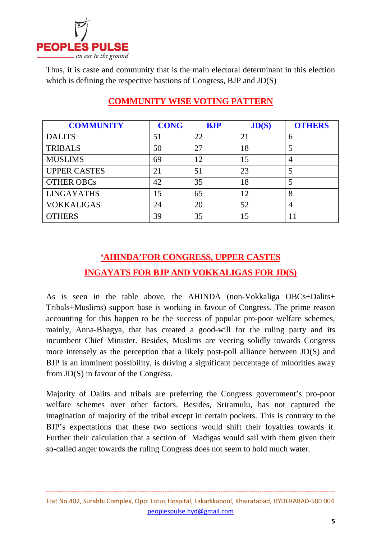

Thus, it is caste and community that is the main electoral determinant in this election which is defining the respective bastions of Congress, BJP and JD(S)

| <b>COMMUNITY</b>    | <b>CONG</b> | <b>BJP</b> | JD(S) | <b>OTHERS</b>  |
|---------------------|-------------|------------|-------|----------------|
| <b>DALITS</b>       | 51          | 22         | 21    | 6              |
| <b>TRIBALS</b>      | 50          | 27         | 18    | 5              |
| <b>MUSLIMS</b>      | 69          | 12         | 15    | 4              |
| <b>UPPER CASTES</b> | 21          | 51         | 23    | 5              |
| <b>OTHER OBCs</b>   | 42          | 35         | 18    | 5              |
| <b>LINGAYATHS</b>   | 15          | 65         | 12    | 8              |
| VOKKALIGAS          | 24          | 20         | 52    | $\overline{4}$ |
| <b>OTHERS</b>       | 39          | 35         | 15    |                |

### **COMMUNITY WISE VOTING PATTERN**

### **'AHINDA'FOR CONGRESS, UPPER CASTES INGAYATS FOR BJP AND VOKKALIGAS FOR JD(S)**

As is seen in the table above, the AHINDA (non-Vokkaliga OBCs+Dalits+ Tribals+Muslims) support base is working in favour of Congress. The prime reason accounting for this happen to be the success of popular pro-poor welfare schemes, mainly, Anna-Bhagya, that has created a good-will for the ruling party and its incumbent Chief Minister. Besides, Muslims are veering solidly towards Congress more intensely as the perception that a likely post-poll alliance between JD(S) and BJP is an imminent possibility, is driving a significant percentage of minorities away from JD(S) in favour of the Congress.

Majority of Dalits and tribals are preferring the Congress government's pro-poor welfare schemes over other factors. Besides, Sriramulu, has not captured the imagination of majority of the tribal except in certain pockets. This is contrary to the BJP's expectations that these two sections would shift their loyalties towards it. Further their calculation that a section of Madigas would sail with them given their so-called anger towards the ruling Congress does not seem to hold much water.

Flat No.402, Surabhi Complex, Opp: Lotus Hospital, Lakadikapool, Khairatabad, HYDERABAD-500 004 peoplespulse.hyd@gmail.com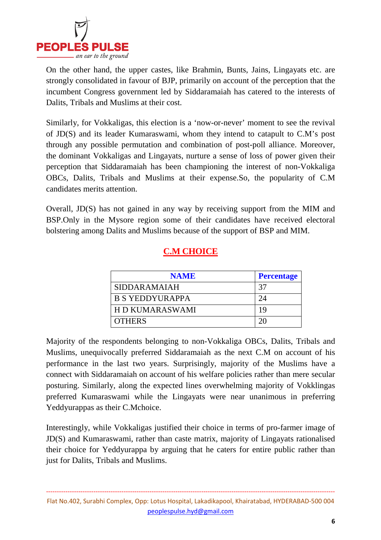

On the other hand, the upper castes, like Brahmin, Bunts, Jains, Lingayats etc. are strongly consolidated in favour of BJP, primarily on account of the perception that the incumbent Congress government led by Siddaramaiah has catered to the interests of Dalits, Tribals and Muslims at their cost.

Similarly, for Vokkaligas, this election is a 'now-or-never' moment to see the revival of JD(S) and its leader Kumaraswami, whom they intend to catapult to C.M's post through any possible permutation and combination of post-poll alliance. Moreover, the dominant Vokkaligas and Lingayats, nurture a sense of loss of power given their perception that Siddaramaiah has been championing the interest of non-Vokkaliga OBCs, Dalits, Tribals and Muslims at their expense.So, the popularity of C.M candidates merits attention.

Overall, JD(S) has not gained in any way by receiving support from the MIM and BSP.Only in the Mysore region some of their candidates have received electoral bolstering among Dalits and Muslims because of the support of BSP and MIM.

### **C.M CHOICE**

| <b>NAME</b>            | <b>Percentage</b> |
|------------------------|-------------------|
| <b>SIDDARAMAIAH</b>    | 37                |
| <b>B S YEDDYURAPPA</b> | 74                |
| H D KUMARASWAMI        | 19                |
| <b>OTHERS</b>          |                   |

Majority of the respondents belonging to non-Vokkaliga OBCs, Dalits, Tribals and Muslims, unequivocally preferred Siddaramaiah as the next C.M on account of his performance in the last two years. Surprisingly, majority of the Muslims have a connect with Siddaramaiah on account of his welfare policies rather than mere secular posturing. Similarly, along the expected lines overwhelming majority of Vokklingas preferred Kumaraswami while the Lingayats were near unanimous in preferring Yeddyurappas as their C.Mchoice.

Interestingly, while Vokkaligas justified their choice in terms of pro-farmer image of JD(S) and Kumaraswami, rather than caste matrix, majority of Lingayats rationalised their choice for Yeddyurappa by arguing that he caters for entire public rather than just for Dalits, Tribals and Muslims.

Flat No.402, Surabhi Complex, Opp: Lotus Hospital, Lakadikapool, Khairatabad, HYDERABAD-500 004 peoplespulse.hyd@gmail.com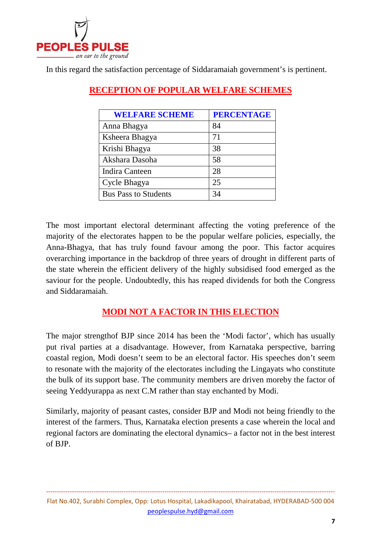

In this regard the satisfaction percentage of Siddaramaiah government's is pertinent.

| <b>WELFARE SCHEME</b>       | <b>PERCENTAGE</b> |
|-----------------------------|-------------------|
| Anna Bhagya                 | 84                |
| Ksheera Bhagya              | 71                |
| Krishi Bhagya               | 38                |
| Akshara Dasoha              | 58                |
| <b>Indira Canteen</b>       | 28                |
| Cycle Bhagya                | 25                |
| <b>Bus Pass to Students</b> | 34                |

### **RECEPTION OF POPULAR WELFARE SCHEMES**

The most important electoral determinant affecting the voting preference of the majority of the electorates happen to be the popular welfare policies, especially, the Anna-Bhagya, that has truly found favour among the poor. This factor acquires overarching importance in the backdrop of three years of drought in different parts of the state wherein the efficient delivery of the highly subsidised food emerged as the saviour for the people. Undoubtedly, this has reaped dividends for both the Congress and Siddaramaiah.

#### **MODI NOT A FACTOR IN THIS ELECTION**

The major strengthof BJP since 2014 has been the 'Modi factor', which has usually put rival parties at a disadvantage. However, from Karnataka perspective, barring coastal region, Modi doesn't seem to be an electoral factor. His speeches don't seem to resonate with the majority of the electorates including the Lingayats who constitute the bulk of its support base. The community members are driven moreby the factor of seeing Yeddyurappa as next C.M rather than stay enchanted by Modi.

Similarly, majority of peasant castes, consider BJP and Modi not being friendly to the interest of the farmers. Thus, Karnataka election presents a case wherein the local and regional factors are dominating the electoral dynamics– a factor not in the best interest of BJP.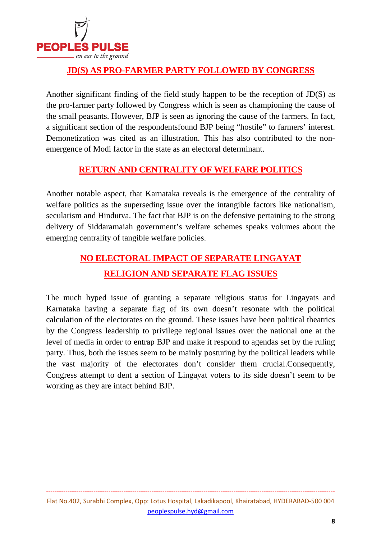

#### **JD(S) AS PRO-FARMER PARTY FOLLOWED BY CONGRESS**

Another significant finding of the field study happen to be the reception of JD(S) as the pro-farmer party followed by Congress which is seen as championing the cause of the small peasants. However, BJP is seen as ignoring the cause of the farmers. In fact, a significant section of the respondentsfound BJP being "hostile" to farmers' interest. Demonetization was cited as an illustration. This has also contributed to the nonemergence of Modi factor in the state as an electoral determinant.

#### **RETURN AND CENTRALITY OF WELFARE POLITICS**

Another notable aspect, that Karnataka reveals is the emergence of the centrality of welfare politics as the superseding issue over the intangible factors like nationalism, secularism and Hindutva. The fact that BJP is on the defensive pertaining to the strong delivery of Siddaramaiah government's welfare schemes speaks volumes about the emerging centrality of tangible welfare policies.

### **NO ELECTORAL IMPACT OF SEPARATE LINGAYAT RELIGION AND SEPARATE FLAG ISSUES**

The much hyped issue of granting a separate religious status for Lingayats and Karnataka having a separate flag of its own doesn't resonate with the political calculation of the electorates on the ground. These issues have been political theatrics by the Congress leadership to privilege regional issues over the national one at the level of media in order to entrap BJP and make it respond to agendas set by the ruling party. Thus, both the issues seem to be mainly posturing by the political leaders while the vast majority of the electorates don't consider them crucial.Consequently, Congress attempt to dent a section of Lingayat voters to its side doesn't seem to be working as they are intact behind BJP.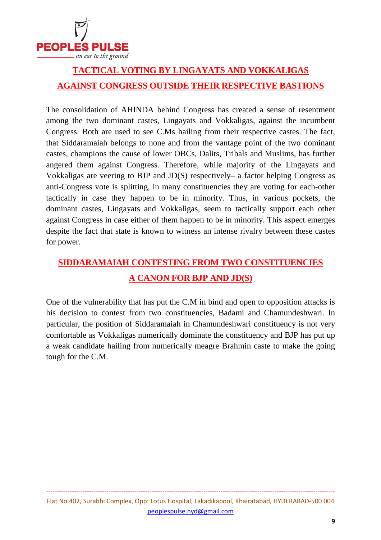

### **TACTICAL VOTING BY LINGAYATS AND VOKKALIGAS AGAINST CONGRESS OUTSIDE THEIR RESPECTIVE BASTIONS**

The consolidation of AHINDA behind Congress has created a sense of resentment among the two dominant castes, Lingayats and Vokkaligas, against the incumbent Congress. Both are used to see C.Ms hailing from their respective castes. The fact, that Siddaramaiah belongs to none and from the vantage point of the two dominant castes, champions the cause of lower OBCs, Dalits, Tribals and Muslims, has further angered them against Congress. Therefore, while majority of the Lingayats and Vokkaligas are veering to BJP and JD(S) respectively– a factor helping Congress as anti-Congress vote is splitting, in many constituencies they are voting for each-other tactically in case they happen to be in minority. Thus, in various pockets, the dominant castes, Lingayats and Vokkaligas, seem to tactically support each other against Congress in case either of them happen to be in minority. This aspect emerges despite the fact that state is known to witness an intense rivalry between these castes for power.

### **SIDDARAMAIAH CONTESTING FROM TWO CONSTITUENCIES A CANON FOR BJP AND JD(S)**

One of the vulnerability that has put the C.M in bind and open to opposition attacks is his decision to contest from two constituencies, Badami and Chamundeshwari. In particular, the position of Siddaramaiah in Chamundeshwari constituency is not very comfortable as Vokkaligas numerically dominate the constituency and BJP has put up a weak candidate hailing from numerically meagre Brahmin caste to make the going tough for the C.M.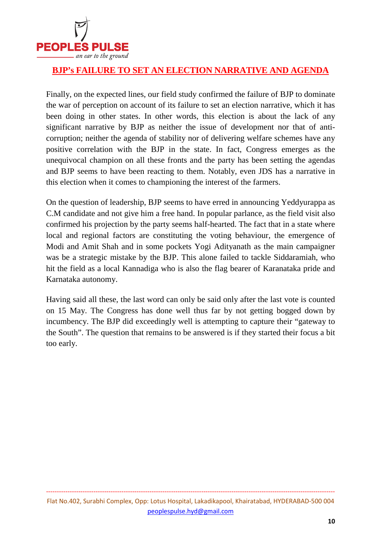

#### **BJP's FAILURE TO SET AN ELECTION NARRATIVE AND AGENDA**

Finally, on the expected lines, our field study confirmed the failure of BJP to dominate the war of perception on account of its failure to set an election narrative, which it has been doing in other states. In other words, this election is about the lack of any significant narrative by BJP as neither the issue of development nor that of anticorruption; neither the agenda of stability nor of delivering welfare schemes have any positive correlation with the BJP in the state. In fact, Congress emerges as the unequivocal champion on all these fronts and the party has been setting the agendas and BJP seems to have been reacting to them. Notably, even JDS has a narrative in this election when it comes to championing the interest of the farmers.

On the question of leadership, BJP seems to have erred in announcing Yeddyurappa as C.M candidate and not give him a free hand. In popular parlance, as the field visit also confirmed his projection by the party seems half-hearted. The fact that in a state where local and regional factors are constituting the voting behaviour, the emergence of Modi and Amit Shah and in some pockets Yogi Adityanath as the main campaigner was be a strategic mistake by the BJP. This alone failed to tackle Siddaramiah, who hit the field as a local Kannadiga who is also the flag bearer of Karanataka pride and Karnataka autonomy.

Having said all these, the last word can only be said only after the last vote is counted on 15 May. The Congress has done well thus far by not getting bogged down by incumbency. The BJP did exceedingly well is attempting to capture their "gateway to the South". The question that remains to be answered is if they started their focus a bit too early.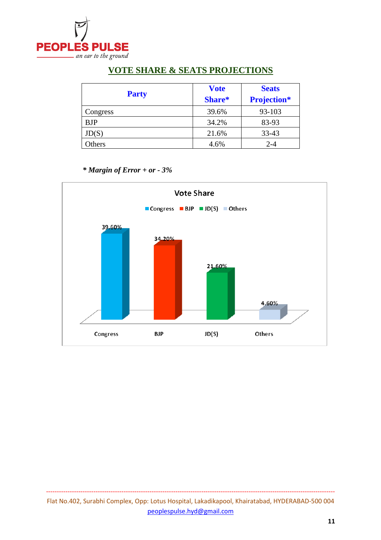

#### **VOTE SHARE & SEATS PROJECTIONS**

|              | <b>Vote</b> | <b>Seats</b>       |
|--------------|-------------|--------------------|
| <b>Party</b> | Share*      | <b>Projection*</b> |
| Congress     | 39.6%       | 93-103             |
| <b>BJP</b>   | 34.2%       | 83-93              |
| JD(S)        | 21.6%       | 33-43              |
| Others       | 4.6%        | $2 - 4$            |

 *\* Margin of Error + or - 3%* 

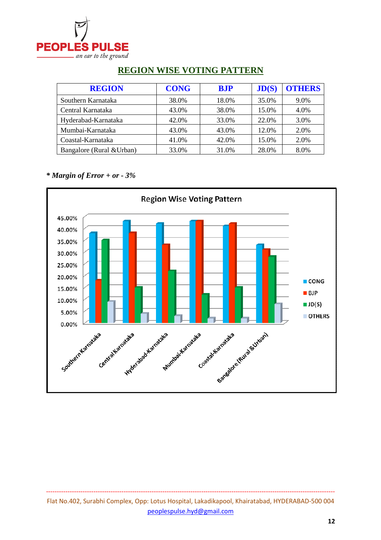

| <b>REGION</b>             | <b>CONG</b> | <b>B.IP</b> | JD(S) | <b>OTHERS</b> |
|---------------------------|-------------|-------------|-------|---------------|
| Southern Karnataka        | 38.0%       | 18.0%       | 35.0% | 9.0%          |
| Central Karnataka         | 43.0%       | 38.0%       | 15.0% | 4.0%          |
| Hyderabad-Karnataka       | 42.0%       | 33.0%       | 22.0% | 3.0%          |
| Mumbai-Karnataka          | 43.0%       | 43.0%       | 12.0% | 2.0%          |
| Coastal-Karnataka         | 41.0%       | 42.0%       | 15.0% | 2.0%          |
| Bangalore (Rural & Urban) | 33.0%       | 31.0%       | 28.0% | 8.0%          |

### **REGION WISE VOTING PATTERN**

*\* Margin of Error + or - 3%*

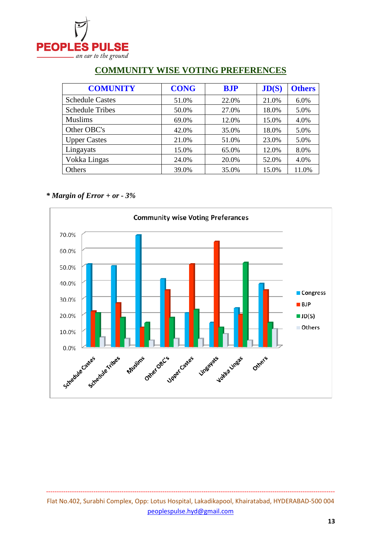

| <b>COMUNITY</b>        | <b>CONG</b> | <b>BJP</b> | JD(S) | <b>Others</b> |
|------------------------|-------------|------------|-------|---------------|
| <b>Schedule Castes</b> | 51.0%       | 22.0%      | 21.0% | 6.0%          |
| <b>Schedule Tribes</b> | 50.0%       | 27.0%      | 18.0% | 5.0%          |
| <b>Muslims</b>         | 69.0%       | 12.0%      | 15.0% | 4.0%          |
| Other OBC's            | 42.0%       | 35.0%      | 18.0% | 5.0%          |
| <b>Upper Castes</b>    | 21.0%       | 51.0%      | 23.0% | 5.0%          |
| Lingayats              | 15.0%       | 65.0%      | 12.0% | 8.0%          |
| Vokka Lingas           | 24.0%       | 20.0%      | 52.0% | 4.0%          |
| Others                 | 39.0%       | 35.0%      | 15.0% | 11.0%         |

#### **COMMUNITY WISE VOTING PREFERENCES**

#### *\* Margin of Error + or - 3%*



Flat No.402, Surabhi Complex, Opp: Lotus Hospital, Lakadikapool, Khairatabad, HYDERABAD-500 004 peoplespulse.hyd@gmail.com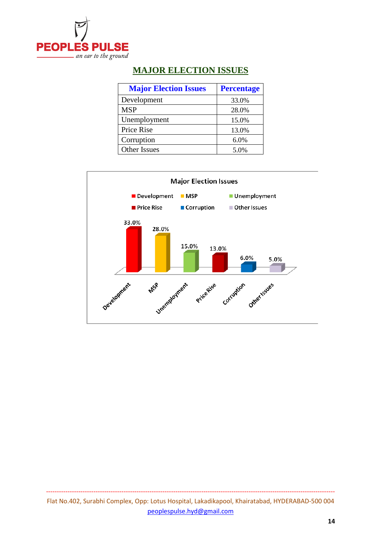

### **MAJOR ELECTION ISSUES**

| <b>Major Election Issues</b> | <b>Percentage</b> |
|------------------------------|-------------------|
| Development                  | 33.0%             |
| <b>MSP</b>                   | 28.0%             |
| Unemployment                 | 15.0%             |
| Price Rise                   | 13.0%             |
| Corruption                   | 6.0%              |
| Other Issues                 | 5.0%              |

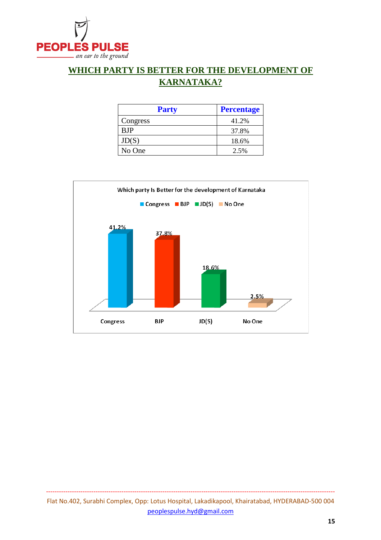

### **WHICH PARTY IS BETTER FOR THE DEVELOPMENT OF KARNATAKA?**

| <b>Party</b> | <b>Percentage</b> |
|--------------|-------------------|
| Congress     | 41.2%             |
| <b>BJP</b>   | 37.8%             |
| JD(S)        | 18.6%             |
| No One       | 2.5%              |

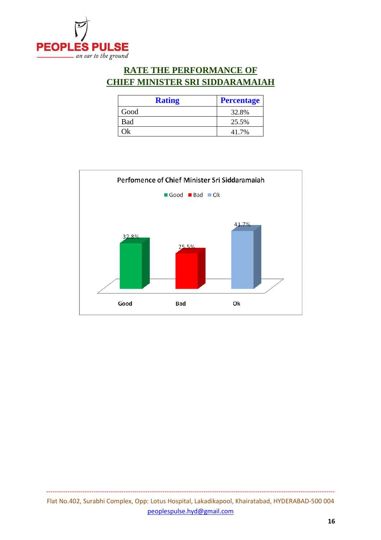

### **RATE THE PERFORMANCE OF CHIEF MINISTER SRI SIDDARAMAIAH**

| <b>Rating</b> | <b>Percentage</b> |
|---------------|-------------------|
| Good          | 32.8%             |
| Bad           | 25.5%             |
| Ok            | 41.7%             |